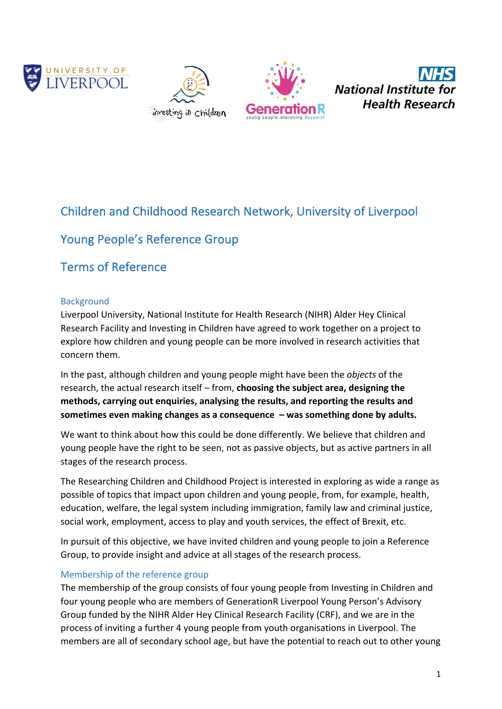







# Children and Childhood Research Network, University of Liverpool

## Young People's Reference Group

## Terms of Reference

### Background

Liverpool University, National Institute for Health Research (NIHR) Alder Hey Clinical Research Facility and Investing in Children have agreed to work together on a project to explore how children and young people can be more involved in research activities that concern them.

In the past, although children and young people might have been the *objects* of the research, the actual research itself – from, choosing the subject area, designing the methods, carrying out enquiries, analysing the results, and reporting the results and sometimes even making changes as a consequence  $-$  was something done by adults.

We want to think about how this could be done differently. We believe that children and young people have the right to be seen, not as passive objects, but as active partners in all stages of the research process.

The Researching Children and Childhood Project is interested in exploring as wide a range as possible of topics that impact upon children and young people, from, for example, health, education, welfare, the legal system including immigration, family law and criminal justice, social work, employment, access to play and youth services, the effect of Brexit, etc.

In pursuit of this objective, we have invited children and young people to join a Reference Group, to provide insight and advice at all stages of the research process.

## Membership of the reference group

The membership of the group consists of four young people from Investing in Children and four young people who are members of GenerationR Liverpool Young Person's Advisory Group funded by the NIHR Alder Hey Clinical Research Facility (CRF), and we are in the process of inviting a further 4 young people from youth organisations in Liverpool. The members are all of secondary school age, but have the potential to reach out to other young